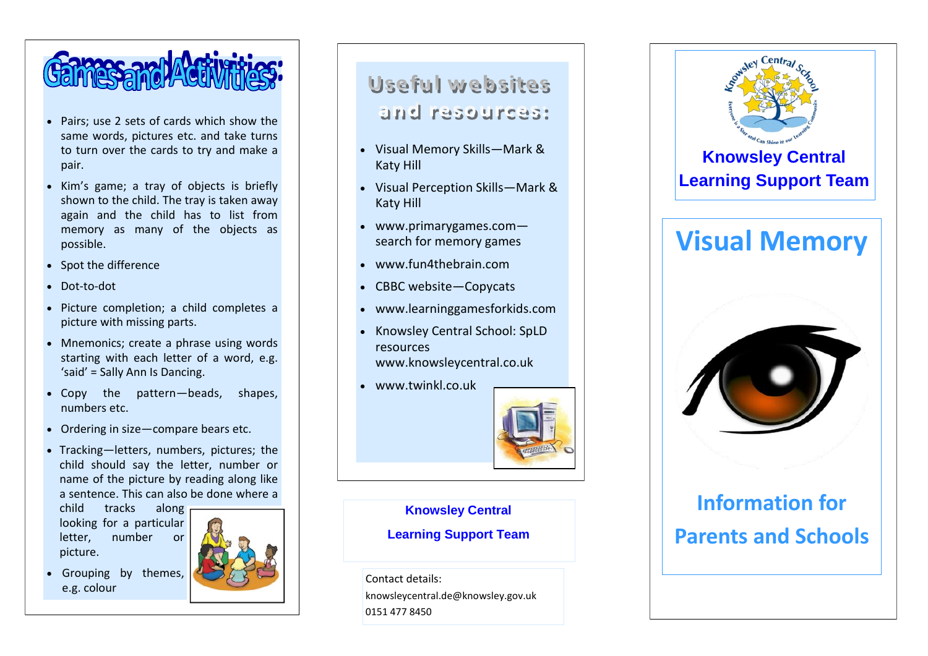

- Pairs; use 2 sets of cards which show the same words, pictures etc. and take turns to turn over the cards to try and make a pair.
- Kim's game; a tray of objects is briefly shown to the child. The tray is taken away again and the child has to list from memory as many of the objects as possible.
- Spot the difference
- Dot-to-dot
- Picture completion; a child completes a picture with missing parts.
- Mnemonics: create a phrase using words starting with each letter of a word, e.g. 'said' = Sally Ann Is Dancing.
- Copy the pattern —beads, shapes, numbers etc.
- Ordering in size —compare bears etc.
- Tracking —letters, numbers, pictures; the child should say the letter, number or name of the picture by reading along like a sentence. This can also be done where a

child tracks along looking for a particular letter, number or picture.

e.g. colour



### Useful websites and resources:

- Visual Memory Skills —Mark & Katy Hill
- Visual Perception Skills —Mark & Katy Hill
- www.primarygames.com search for memory games
- www.fun4thebrain.com
- CBBC website-Copycats
- www.learninggamesforkids.com
- Knowsley Central School: SpLD resources www.knowsleycentral.co.uk
- www.twinkl.co.uk



#### **Knowsley Central**

#### **Learning Support Team**

Contact details: knowsleycentral.de@knowsley.gov.uk 0151 477 8450